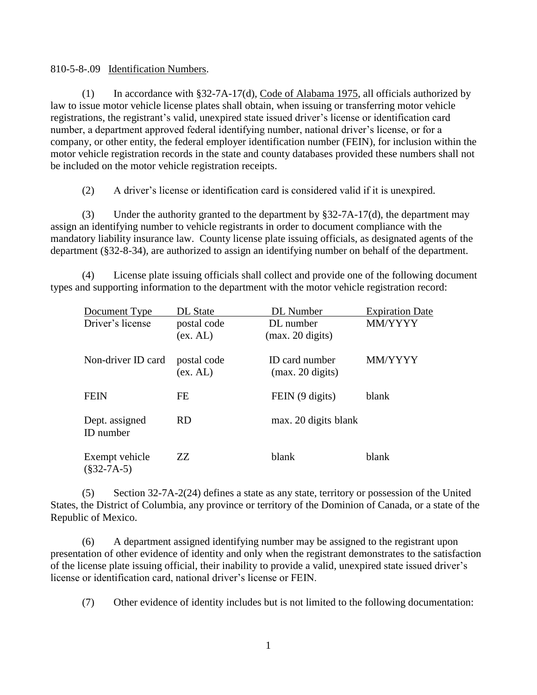## 810-5-8-.09 Identification Numbers.

(1) In accordance with §32-7A-17(d), Code of Alabama 1975, all officials authorized by law to issue motor vehicle license plates shall obtain, when issuing or transferring motor vehicle registrations, the registrant's valid, unexpired state issued driver's license or identification card number, a department approved federal identifying number, national driver's license, or for a company, or other entity, the federal employer identification number (FEIN), for inclusion within the motor vehicle registration records in the state and county databases provided these numbers shall not be included on the motor vehicle registration receipts.

(2) A driver's license or identification card is considered valid if it is unexpired.

(3) Under the authority granted to the department by §32-7A-17(d), the department may assign an identifying number to vehicle registrants in order to document compliance with the mandatory liability insurance law. County license plate issuing officials, as designated agents of the department (§32-8-34), are authorized to assign an identifying number on behalf of the department.

(4) License plate issuing officials shall collect and provide one of the following document types and supporting information to the department with the motor vehicle registration record:

| Document Type                   | <b>DL</b> State         | DL Number                                    | <b>Expiration Date</b> |
|---------------------------------|-------------------------|----------------------------------------------|------------------------|
| Driver's license                | postal code<br>(ex. AL) | DL number<br>$(max. 20 \text{ digits})$      | MM/YYYY                |
|                                 |                         |                                              |                        |
| Non-driver ID card              | postal code<br>(ex. AL) | ID card number<br>$(max. 20 \text{ digits})$ | MM/YYYY                |
| <b>FEIN</b>                     | <b>FE</b>               | FEIN (9 digits)                              | blank                  |
| Dept. assigned<br>ID number     | <b>RD</b>               | max. 20 digits blank                         |                        |
| Exempt vehicle<br>$(\$32-7A-5)$ | ZZ                      | blank                                        | blank                  |

(5) Section 32-7A-2(24) defines a state as any state, territory or possession of the United States, the District of Columbia, any province or territory of the Dominion of Canada, or a state of the Republic of Mexico.

(6) A department assigned identifying number may be assigned to the registrant upon presentation of other evidence of identity and only when the registrant demonstrates to the satisfaction of the license plate issuing official, their inability to provide a valid, unexpired state issued driver's license or identification card, national driver's license or FEIN.

(7) Other evidence of identity includes but is not limited to the following documentation: